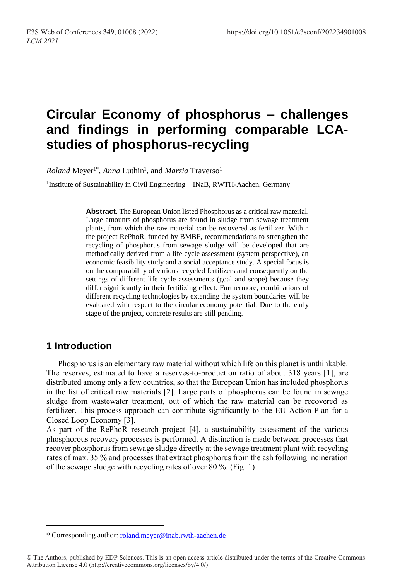# **Circular Economy of phosphorus – challenges and findings in performing comparable LCAstudies of phosphorus-recycling**

 $\emph{Roland Meyer}$ <sup>1\*</sup>, *Anna* Luthin<sup>1</sup>, and *Marzia* Traverso<sup>1</sup>

<sup>1</sup>Institute of Sustainability in Civil Engineering - INaB, RWTH-Aachen, Germany

**Abstract.** The European Union listed Phosphorus as a critical raw material. Large amounts of phosphorus are found in sludge from sewage treatment plants, from which the raw material can be recovered as fertilizer. Within the project RePhoR, funded by BMBF, recommendations to strengthen the recycling of phosphorus from sewage sludge will be developed that are methodically derived from a life cycle assessment (system perspective), an economic feasibility study and a social acceptance study. A special focus is on the comparability of various recycled fertilizers and consequently on the settings of different life cycle assessments (goal and scope) because they differ significantly in their fertilizing effect. Furthermore, combinations of different recycling technologies by extending the system boundaries will be evaluated with respect to the circular economy potential. Due to the early stage of the project, concrete results are still pending.

## **1 Introduction**

 $\overline{a}$ 

Phosphorus is an elementary raw material without which life on this planet is unthinkable. The reserves, estimated to have a reserves-to-production ratio of about 318 years [1], are distributed among only a few countries, so that the European Union has included phosphorus in the list of critical raw materials [2]. Large parts of phosphorus can be found in sewage sludge from wastewater treatment, out of which the raw material can be recovered as fertilizer. This process approach can contribute significantly to the EU Action Plan for a Closed Loop Economy [3].

As part of the RePhoR research project [4], a sustainability assessment of the various phosphorous recovery processes is performed. A distinction is made between processes that recover phosphorus from sewage sludge directly at the sewage treatment plant with recycling rates of max. 35 % and processes that extract phosphorus from the ash following incineration of the sewage sludge with recycling rates of over 80 %. (Fig. 1)

<sup>\*</sup> Corresponding author: [roland.meyer@i](mailto:roland.meyer@)nab.rwth-aachen.de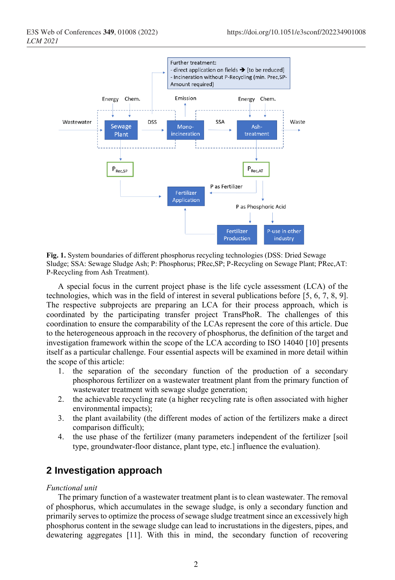

**Fig. 1.** System boundaries of different phosphorus recycling technologies (DSS: Dried Sewage Sludge; SSA: Sewage Sludge Ash; P: Phosphorus; PRec,SP; P-Recycling on Sewage Plant; PRec,AT: P-Recycling from Ash Treatment).

A special focus in the current project phase is the life cycle assessment (LCA) of the technologies, which was in the field of interest in several publications before [5, 6, 7, 8, 9]. The respective subprojects are preparing an LCA for their process approach, which is coordinated by the participating transfer project TransPhoR. The challenges of this coordination to ensure the comparability of the LCAs represent the core of this article. Due to the heterogeneous approach in the recovery of phosphorus, the definition of the target and investigation framework within the scope of the LCA according to ISO 14040 [10] presents itself as a particular challenge. Four essential aspects will be examined in more detail within the scope of this article:

- 1. the separation of the secondary function of the production of a secondary phosphorous fertilizer on a wastewater treatment plant from the primary function of wastewater treatment with sewage sludge generation;
- 2. the achievable recycling rate (a higher recycling rate is often associated with higher environmental impacts);
- 3. the plant availability (the different modes of action of the fertilizers make a direct comparison difficult);
- 4. the use phase of the fertilizer (many parameters independent of the fertilizer [soil type, groundwater-floor distance, plant type, etc.] influence the evaluation).

## **2 Investigation approach**

### *Functional unit*

The primary function of a wastewater treatment plant is to clean wastewater. The removal of phosphorus, which accumulates in the sewage sludge, is only a secondary function and primarily serves to optimize the process of sewage sludge treatment since an excessively high phosphorus content in the sewage sludge can lead to incrustations in the digesters, pipes, and dewatering aggregates [11]. With this in mind, the secondary function of recovering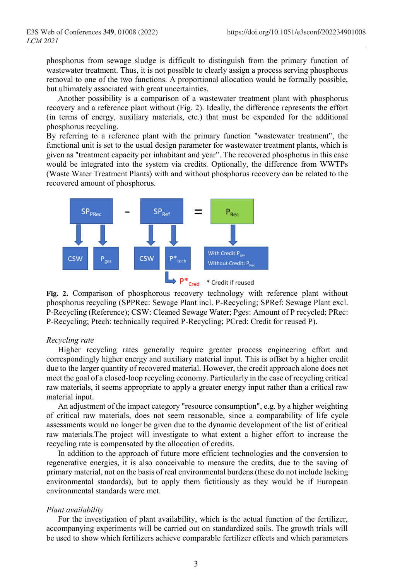phosphorus from sewage sludge is difficult to distinguish from the primary function of wastewater treatment. Thus, it is not possible to clearly assign a process serving phosphorus removal to one of the two functions. A proportional allocation would be formally possible, but ultimately associated with great uncertainties.

Another possibility is a comparison of a wastewater treatment plant with phosphorus recovery and a reference plant without (Fig. 2). Ideally, the difference represents the effort (in terms of energy, auxiliary materials, etc.) that must be expended for the additional phosphorus recycling.

By referring to a reference plant with the primary function "wastewater treatment", the functional unit is set to the usual design parameter for wastewater treatment plants, which is given as "treatment capacity per inhabitant and year". The recovered phosphorus in this case would be integrated into the system via credits. Optionally, the difference from WWTPs (Waste Water Treatment Plants) with and without phosphorus recovery can be related to the recovered amount of phosphorus.



**Fig. 2.** Comparison of phosphorous recovery technology with reference plant without phosphorus recycling (SPPRec: Sewage Plant incl. P-Recycling; SPRef: Sewage Plant excl. P-Recycling (Reference); CSW: Cleaned Sewage Water; Pges: Amount of P recycled; PRec: P-Recycling; Ptech: technically required P-Recycling; PCred: Credit for reused P).

#### *Recycling rate*

Higher recycling rates generally require greater process engineering effort and correspondingly higher energy and auxiliary material input. This is offset by a higher credit due to the larger quantity of recovered material. However, the credit approach alone does not meet the goal of a closed-loop recycling economy. Particularly in the case of recycling critical raw materials, it seems appropriate to apply a greater energy input rather than a critical raw material input.

An adjustment of the impact category "resource consumption", e.g. by a higher weighting of critical raw materials, does not seem reasonable, since a comparability of life cycle assessments would no longer be given due to the dynamic development of the list of critical raw materials.The project will investigate to what extent a higher effort to increase the recycling rate is compensated by the allocation of credits.

In addition to the approach of future more efficient technologies and the conversion to regenerative energies, it is also conceivable to measure the credits, due to the saving of primary material, not on the basis of real environmental burdens (these do not include lacking environmental standards), but to apply them fictitiously as they would be if European environmental standards were met.

## *Plant availability*

For the investigation of plant availability, which is the actual function of the fertilizer, accompanying experiments will be carried out on standardized soils. The growth trials will be used to show which fertilizers achieve comparable fertilizer effects and which parameters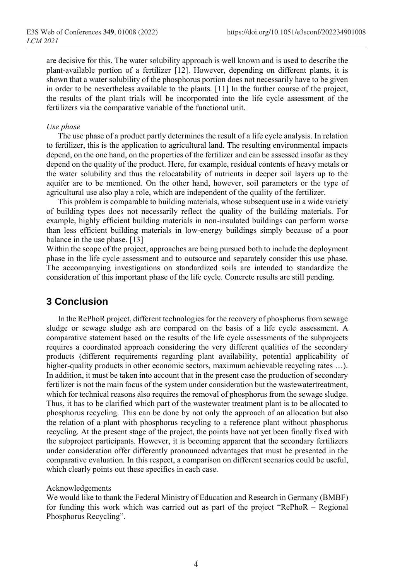are decisive for this. The water solubility approach is well known and is used to describe the plant-available portion of a fertilizer [12]. However, depending on different plants, it is shown that a water solubility of the phosphorus portion does not necessarily have to be given in order to be nevertheless available to the plants. [11] In the further course of the project, the results of the plant trials will be incorporated into the life cycle assessment of the fertilizers via the comparative variable of the functional unit.

### *Use phase*

The use phase of a product partly determines the result of a life cycle analysis. In relation to fertilizer, this is the application to agricultural land. The resulting environmental impacts depend, on the one hand, on the properties of the fertilizer and can be assessed insofar as they depend on the quality of the product. Here, for example, residual contents of heavy metals or the water solubility and thus the relocatability of nutrients in deeper soil layers up to the aquifer are to be mentioned. On the other hand, however, soil parameters or the type of agricultural use also play a role, which are independent of the quality of the fertilizer.

This problem is comparable to building materials, whose subsequent use in a wide variety of building types does not necessarily reflect the quality of the building materials. For example, highly efficient building materials in non-insulated buildings can perform worse than less efficient building materials in low-energy buildings simply because of a poor balance in the use phase. [13]

Within the scope of the project, approaches are being pursued both to include the deployment phase in the life cycle assessment and to outsource and separately consider this use phase. The accompanying investigations on standardized soils are intended to standardize the consideration of this important phase of the life cycle. Concrete results are still pending.

# **3 Conclusion**

In the RePhoR project, different technologies for the recovery of phosphorus from sewage sludge or sewage sludge ash are compared on the basis of a life cycle assessment. A comparative statement based on the results of the life cycle assessments of the subprojects requires a coordinated approach considering the very different qualities of the secondary products (different requirements regarding plant availability, potential applicability of higher-quality products in other economic sectors, maximum achievable recycling rates ...). In addition, it must be taken into account that in the present case the production of secondary fertilizer is not the main focus of the system under consideration but the wastewatertreatment, which for technical reasons also requires the removal of phosphorus from the sewage sludge. Thus, it has to be clarified which part of the wastewater treatment plant is to be allocated to phosphorus recycling. This can be done by not only the approach of an allocation but also the relation of a plant with phosphorus recycling to a reference plant without phosphorus recycling. At the present stage of the project, the points have not yet been finally fixed with the subproject participants. However, it is becoming apparent that the secondary fertilizers under consideration offer differently pronounced advantages that must be presented in the comparative evaluation. In this respect, a comparison on different scenarios could be useful, which clearly points out these specifics in each case.

## Acknowledgements

We would like to thank the Federal Ministry of Education and Research in Germany (BMBF) for funding this work which was carried out as part of the project "RePhoR – Regional Phosphorus Recycling".